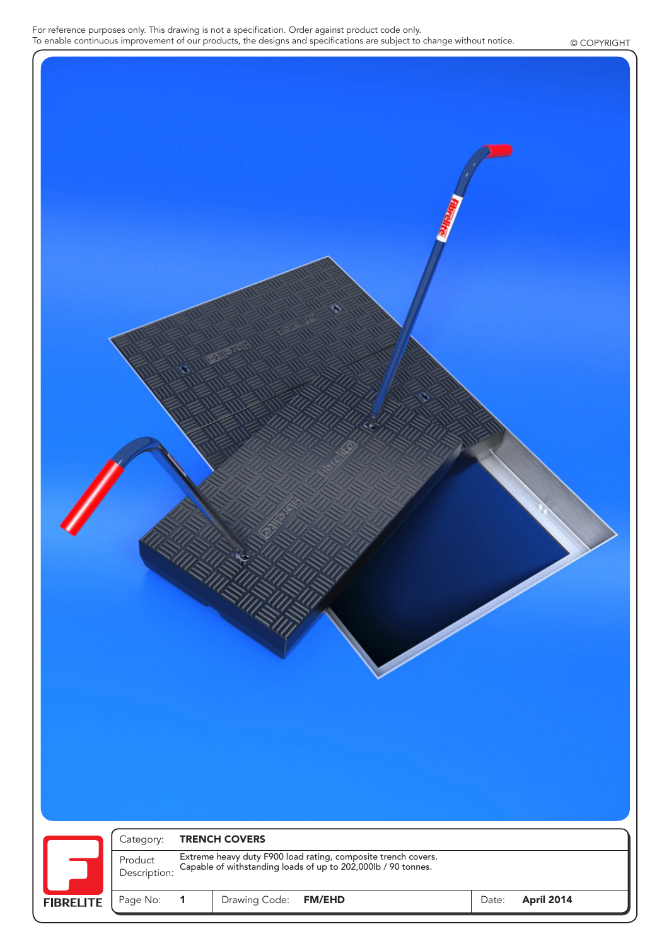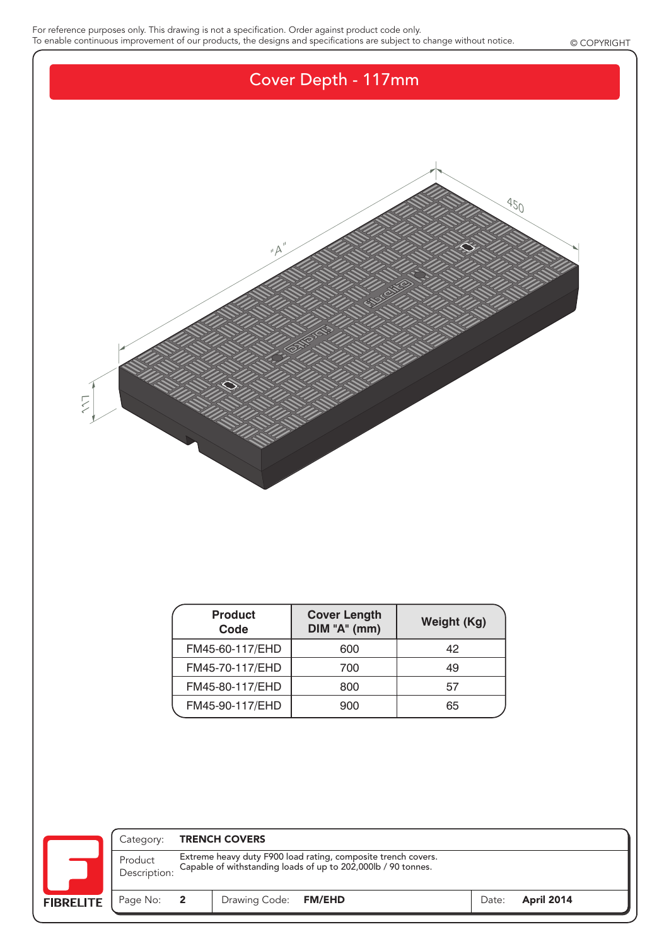For reference purposes only. This drawing is not a specification. Order against product code only. To enable continuous improvement of our products, the designs and specifications are subject to change without notice. © COPYRIGHT



| <b>Product</b><br>Code | <b>Cover Length</b><br>DIM "A" (mm) | Weight (Kg) |
|------------------------|-------------------------------------|-------------|
| FM45-60-117/EHD        | 600                                 | 42          |
| FM45-70-117/EHD        | 700                                 | 49          |
| FM45-80-117/EHD        | 800                                 | 57          |
| FM45-90-117/EHD        | 900                                 | 65          |

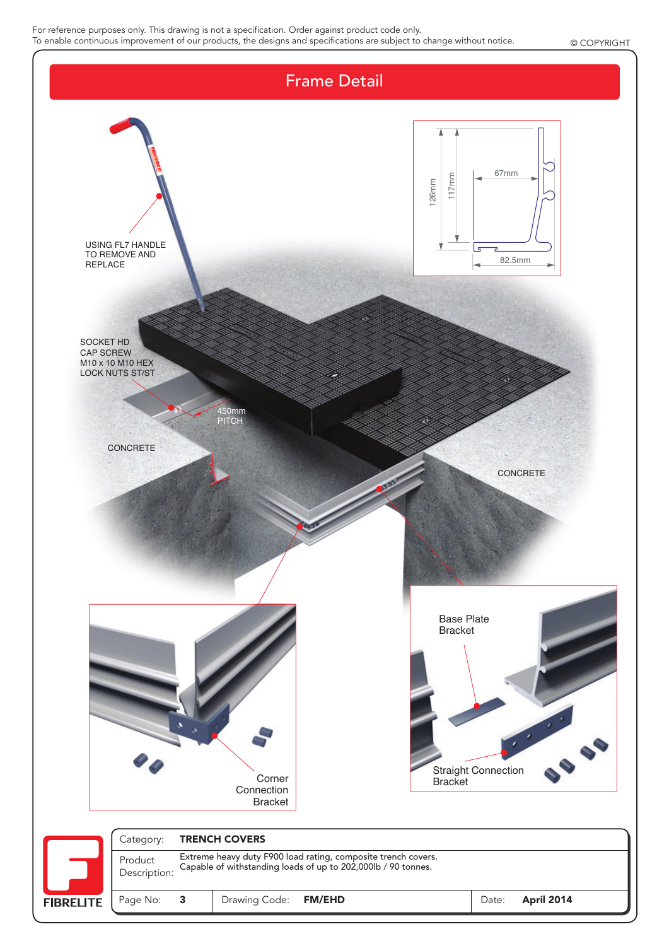For reference purposes only. This drawing is not a specification. Order against product code only. To enable continuous improvement of our products, the designs and specifications are subject to change without notice. © COPYRIGHT